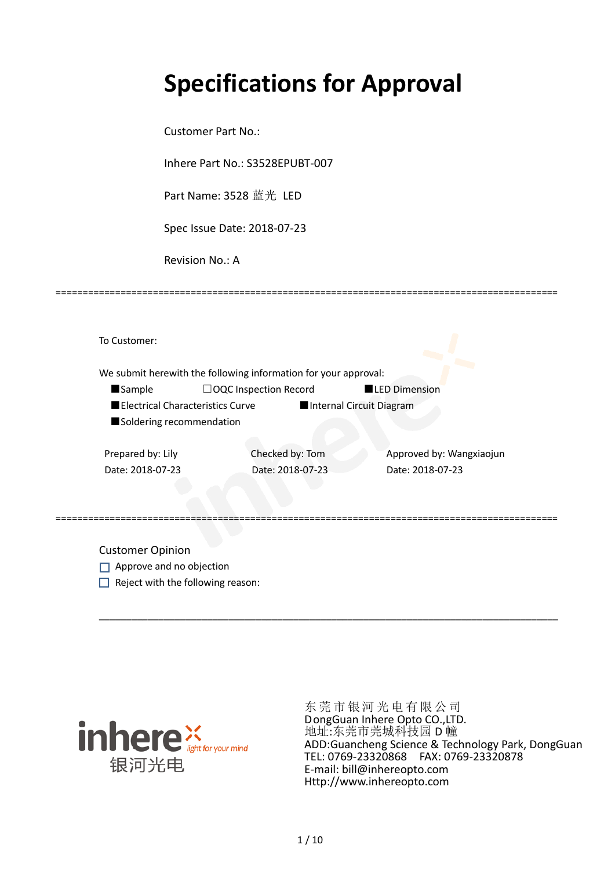# **Specifications for Approval**

Customer Part No.:

Inhere Part No.: S3528EPUBT-007

Part Name: 3528 蓝光 LED

Spec Issue Date: 2018-07-23

Revision No.: A

|                          | We submit herewith the following information for your approval: |                          |                          |
|--------------------------|-----------------------------------------------------------------|--------------------------|--------------------------|
| <b>Sample</b>            | $\Box$ OQC Inspection Record                                    |                          | <b>LED Dimension</b>     |
|                          | Electrical Characteristics Curve                                | Internal Circuit Diagram |                          |
| Soldering recommendation |                                                                 |                          |                          |
|                          |                                                                 |                          |                          |
| Prepared by: Lily        | Checked by: Tom                                                 |                          | Approved by: Wangxiaojun |
| Date: 2018-07-23         |                                                                 | Date: 2018-07-23         | Date: 2018-07-23         |
|                          |                                                                 |                          |                          |

\_\_\_\_\_\_\_\_\_\_\_\_\_\_\_\_\_\_\_\_\_\_\_\_\_\_\_\_\_\_\_\_\_\_\_\_\_\_\_\_\_\_\_\_\_\_\_\_\_\_\_\_\_\_\_\_\_\_\_\_\_\_\_\_\_\_\_\_\_\_\_\_\_\_\_\_\_\_\_\_\_\_\_\_\_

=============================================================================================

Customer Opinion

- Approve and no objection
- $\Box$  Reject with the following reason:



东莞市银河光电有限公司 DongGuan Inhere Opto CO.,LTD. 地址:东莞市莞城科技园 D 幢 ADD:Guancheng Science & Technology Park, DongGuan TEL: 0769-23320868 FAX: 0769-23320878 E-mail: bill@inhereopto.com Http://www.inhereopto.com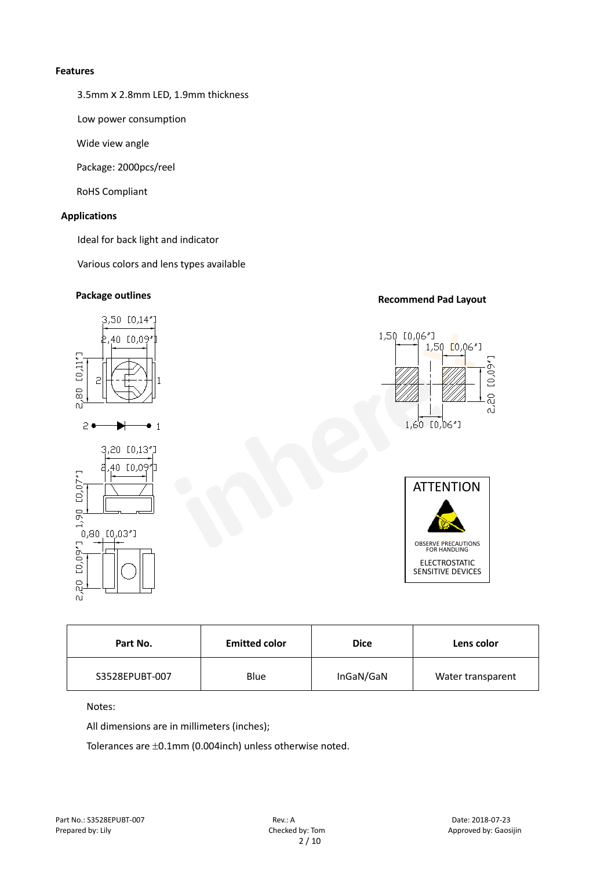#### **Features**

3.5mmⅹ2.8mm LED, 1.9mm thickness

Low power consumption

Wide view angle

Package: 2000pcs/reel

RoHS Compliant

#### **Applications**

Ideal for back light and indicator

Various colors and lens types available



| <b>Emitted color</b><br>Part No. |      | <b>Dice</b> | Lens color        |  |
|----------------------------------|------|-------------|-------------------|--|
| S3528EPUBT-007                   | Blue | InGaN/GaN   | Water transparent |  |

Notes:

All dimensions are in millimeters (inches);

Tolerances are ±0.1mm (0.004inch) unless otherwise noted.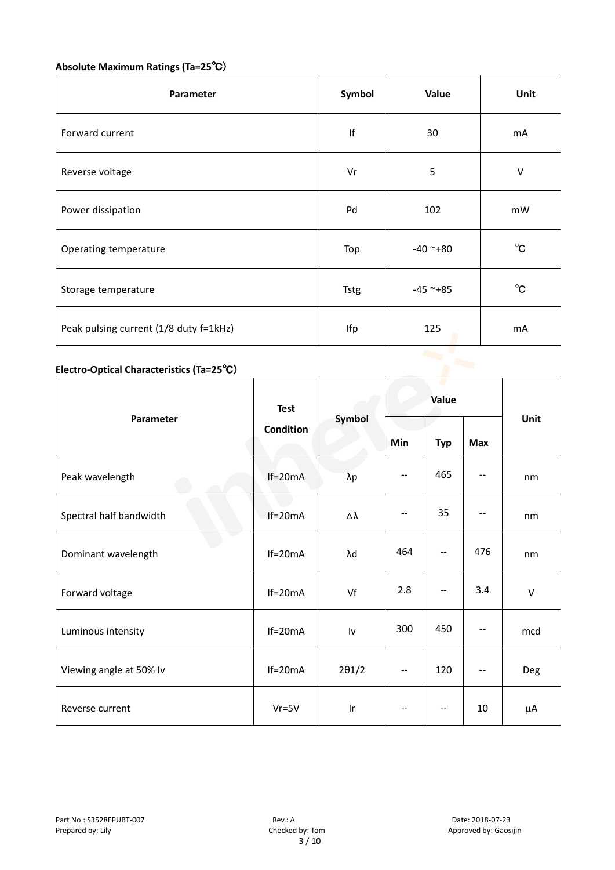## **Absolute Maximum Ratings (Ta=25**℃)

| Parameter                              | Symbol      | Value         | Unit         |
|----------------------------------------|-------------|---------------|--------------|
| Forward current                        | If          | 30            | mA           |
| Reverse voltage                        | Vr          | 5             | $\vee$       |
| Power dissipation                      | Pd          | 102           | mW           |
| Operating temperature                  | Top         | $-40$ ~+80    | $^{\circ}$ C |
| Storage temperature                    | <b>Tstg</b> | $-45$ ~ $+85$ | $^{\circ}$ C |
| Peak pulsing current (1/8 duty f=1kHz) | Ifp         | 125           | mA           |
|                                        |             |               |              |

### **Electro-Optical Characteristics (Ta=25**℃)

|                         | <b>Test</b><br><b>Condition</b> | Symbol                  | Value   |                                       |                          |        |
|-------------------------|---------------------------------|-------------------------|---------|---------------------------------------|--------------------------|--------|
| Parameter               |                                 |                         | Min     | <b>Typ</b>                            | <b>Max</b>               | Unit   |
| Peak wavelength         | $If=20mA$                       | $\lambda p$             | --      | 465                                   |                          | nm     |
| Spectral half bandwidth | $If=20mA$                       | Δλ                      | $-\, -$ | 35                                    |                          | nm     |
| Dominant wavelength     | $If=20mA$                       | λd                      | 464     | $\overline{\phantom{a}}$              | 476                      | nm     |
| Forward voltage         | $If=20mA$                       | Vf                      | 2.8     | --                                    | 3.4                      | $\vee$ |
| Luminous intensity      | $If=20mA$                       | Iv                      | 300     | 450                                   |                          | mcd    |
| Viewing angle at 50% lv | $If=20mA$                       | $2\theta$ 1/2           | $-$     | 120                                   | $\overline{\phantom{a}}$ | Deg    |
| Reverse current         | $Vr = 5V$                       | $\mathsf{I} \mathsf{r}$ | $-$     | $\hspace{0.05cm}$ – $\hspace{0.05cm}$ | 10                       | μA     |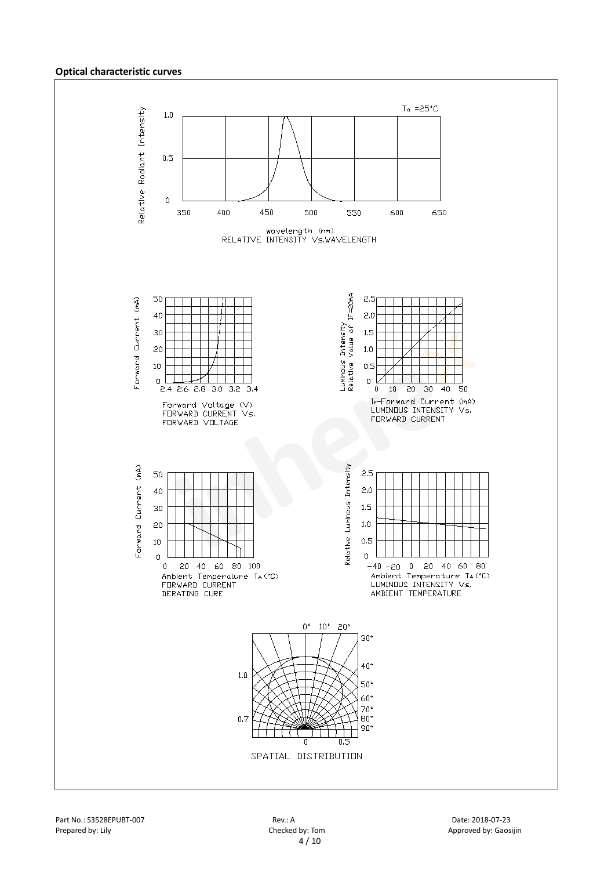#### **Optical characteristic curves**

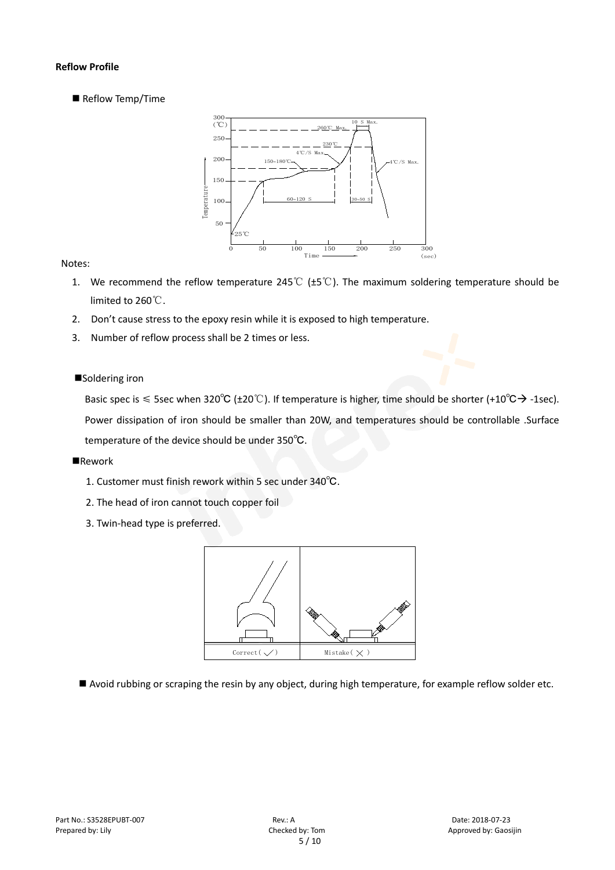#### **Reflow Profile**

Reflow Temp/Time



#### Notes:

- 1. We recommend the reflow temperature 245℃ (±5℃). The maximum soldering temperature should be limited to 260℃.
- 2. Don't cause stress to the epoxy resin while it is exposed to high temperature.
- 3. Number of reflow process shall be 2 times or less.

#### ■Soldering iron

Basic spec is  $\leq$  5sec when 320°C (±20°C). If temperature is higher, time should be shorter (+10°C $\rightarrow$  -1sec). Power dissipation of iron should be smaller than 20W, and temperatures should be controllable .Surface temperature of the device should be under 350℃.

#### **Rework**

- 1. Customer must finish rework within 5 sec under 340℃.
- 2. The head of iron cannot touch copper foil
- 3. Twin-head type is preferred.



Avoid rubbing or scraping the resin by any object, during high temperature, for example reflow solder etc.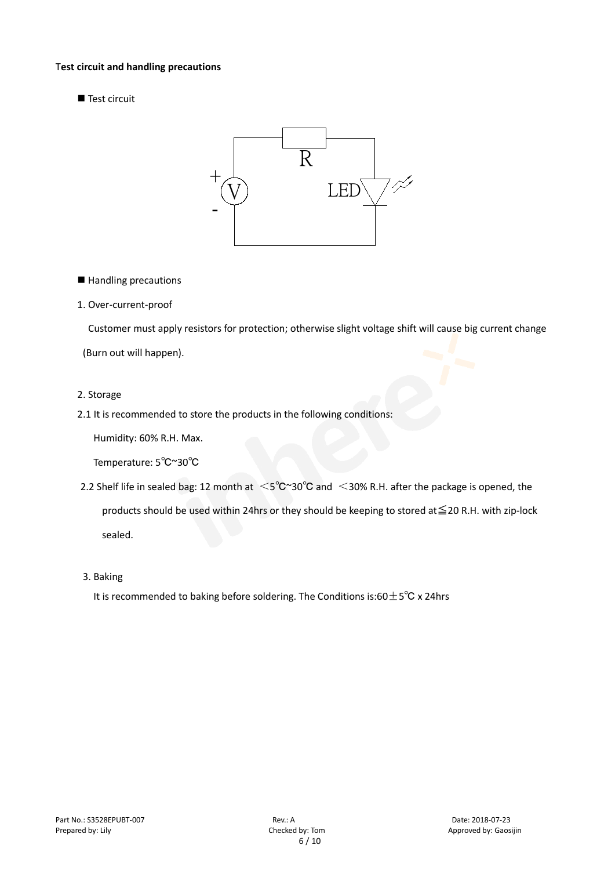#### T**est circuit and handling precautions**

■ Test circuit



■ Handling precautions

#### 1. Over-current-proof

Customer must apply resistors for protection; otherwise slight voltage shift will cause big current change (Burn out will happen).

#### 2. Storage

#### 2.1 It is recommended to store the products in the following conditions:

Humidity: 60% R.H. Max.

Temperature: 5℃~30℃

- 2.2 Shelf life in sealed bag: 12 month at <5℃~30°C and <30% R.H. after the package is opened, the products should be used within 24hrs or they should be keeping to stored at≦20 R.H. with zip-lock sealed.
- 3. Baking

It is recommended to baking before soldering. The Conditions is:60 $\pm$ 5°C x 24hrs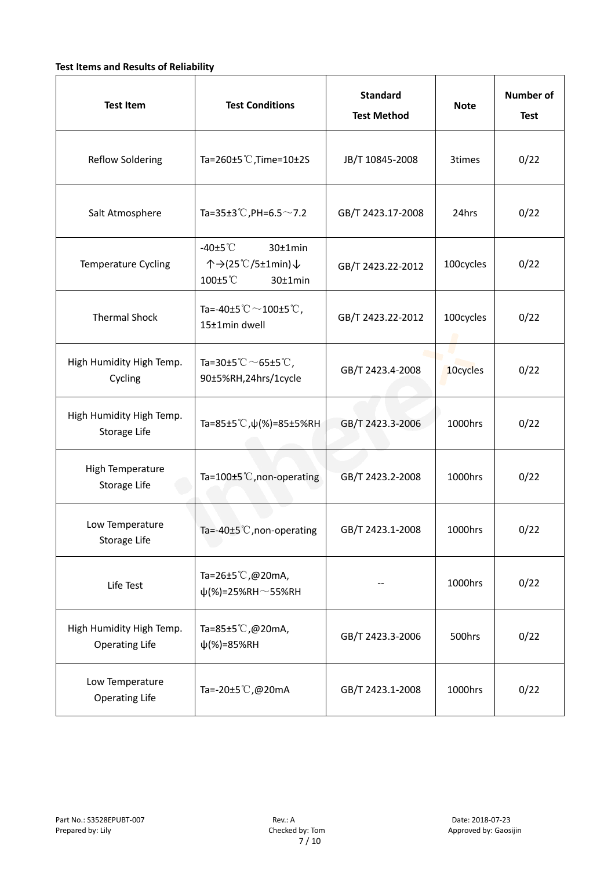#### **Test Items and Results of Reliability**

| <b>Test Item</b>                                  | <b>Standard</b><br><b>Test Conditions</b><br><b>Test Method</b>           |                   | <b>Note</b> | <b>Number of</b><br><b>Test</b> |
|---------------------------------------------------|---------------------------------------------------------------------------|-------------------|-------------|---------------------------------|
| <b>Reflow Soldering</b>                           | Ta=260±5 °C, Time=10±2S<br>JB/T 10845-2008                                |                   | 3times      | 0/22                            |
| Salt Atmosphere                                   | Ta=35±3°C, PH=6.5 $\sim$ 7.2<br>GB/T 2423.17-2008                         |                   | 24hrs       | 0/22                            |
| Temperature Cycling                               | -40 $±5^{\circ}$ C<br>30±1min<br>个→(25℃/5±1min)↓<br>100±5°C<br>$30±1$ min | GB/T 2423.22-2012 | 100cycles   | 0/22                            |
| <b>Thermal Shock</b>                              | Ta=-40±5 $°C$ ~100±5 $°C$ ,<br>15±1min dwell                              | GB/T 2423.22-2012 | 100cycles   | 0/22                            |
| High Humidity High Temp.<br>Cycling               | Ta=30±5 °C $\sim$ 65±5 °C,<br>90±5%RH,24hrs/1cycle                        | GB/T 2423.4-2008  |             | 0/22                            |
| High Humidity High Temp.<br>Storage Life          | Ta=85±5 <sup>°</sup> C, $\psi$ (%)=85±5%RH                                | GB/T 2423.3-2006  | 1000hrs     | 0/22                            |
| High Temperature<br>Storage Life                  | Ta=100 $\pm$ 5°C, non-operating                                           | GB/T 2423.2-2008  | 1000hrs     | 0/22                            |
| Low Temperature<br>Storage Life                   | Ta=-40±5 $°C$ , non-operating                                             | GB/T 2423.1-2008  | 1000hrs     | 0/22                            |
| Life Test                                         | Ta=26±5°C,@20mA,<br>$\psi$ (%)=25%RH~55%RH                                |                   | 1000hrs     | 0/22                            |
| High Humidity High Temp.<br><b>Operating Life</b> | Ta=85±5 $\degree$ C, @20mA,<br>$\psi$ (%)=85%RH                           | GB/T 2423.3-2006  | 500hrs      | 0/22                            |
| Low Temperature<br><b>Operating Life</b>          | Ta=-20±5 $\mathbb{C}$ , @20mA                                             | GB/T 2423.1-2008  | 1000hrs     | 0/22                            |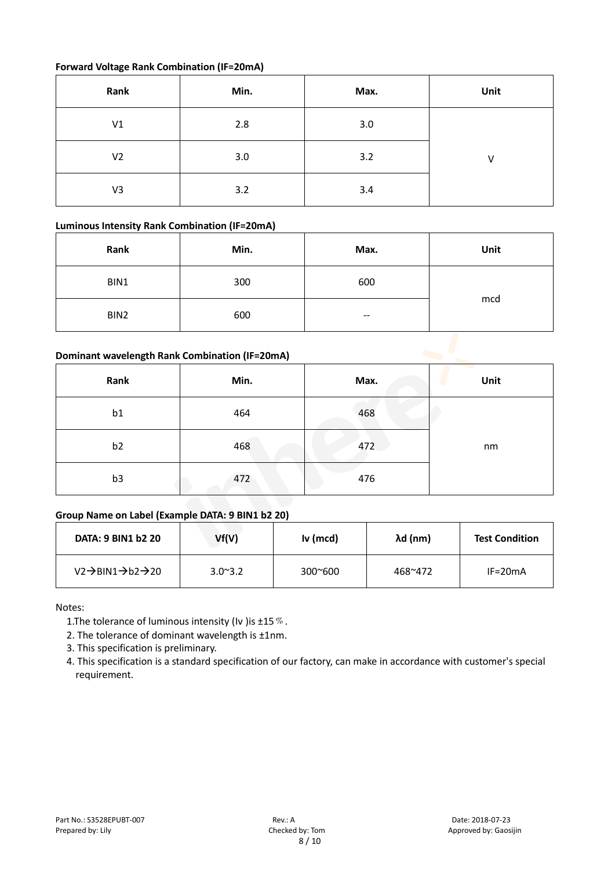#### **Forward Voltage Rank Combination (IF=20mA)**

| Rank           | Min. | Max. | Unit |
|----------------|------|------|------|
| V1             | 2.8  | 3.0  |      |
| V <sub>2</sub> | 3.0  | 3.2  | v    |
| V3             | 3.2  | 3.4  |      |

#### **Luminous Intensity Rank Combination (IF=20mA)**

| Rank                                           | Min. | Max. | Unit |  |
|------------------------------------------------|------|------|------|--|
| BIN1                                           | 300  | 600  |      |  |
| BIN2                                           | 600  | --   | mcd  |  |
| Dominant wavelength Rank Combination (IF=20mA) |      |      |      |  |

#### **Dominant wavelength Rank Combination (IF=20mA)**

| Rank           | Min. | Max. | Unit |
|----------------|------|------|------|
| b1             | 464  | 468  |      |
| b <sub>2</sub> | 468  | 472  | nm   |
| b <sub>3</sub> | 472  | 476  |      |

### **Group Name on Label (Example DATA: 9 BIN1 b2 20)**

| <b>DATA: 9 BIN1 b2 20</b>                           | Vf(V)            | Iv (mcd)         | $\lambda$ d (nm) | <b>Test Condition</b> |
|-----------------------------------------------------|------------------|------------------|------------------|-----------------------|
| $V2 \rightarrow BIN1 \rightarrow b2 \rightarrow 20$ | $3.0^{\circ}3.2$ | $300^{\circ}600$ | 468~472          | $IF=20mA$             |

Notes:

- 1. The tolerance of luminous intensity (Iv ) is  $\pm 15\%$ .
- 2. The tolerance of dominant wavelength is ±1nm.
- 3. This specification is preliminary.
- 4. This specification is a standard specification of our factory, can make in accordance with customer's special requirement.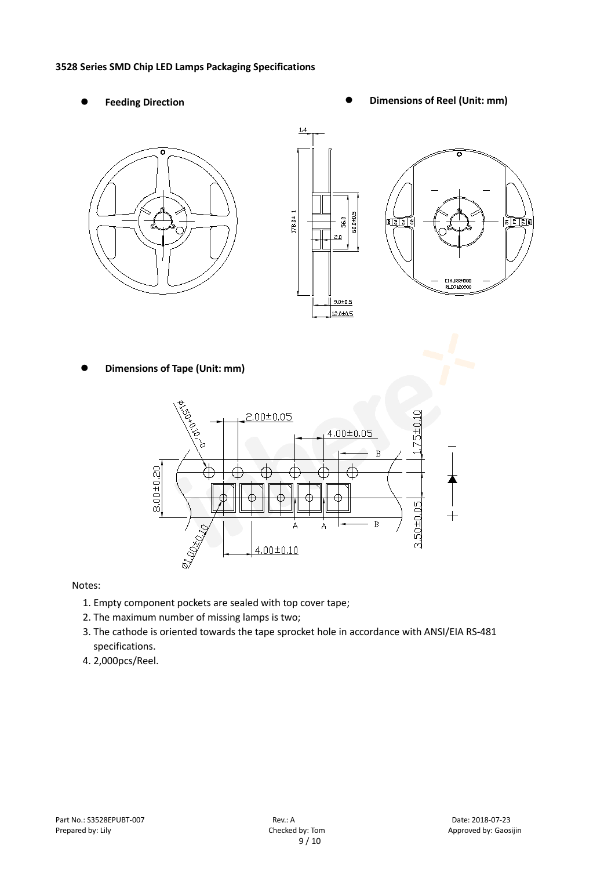#### **3528 Series SMD Chip LED Lamps Packaging Specifications**

- 
- Feeding Direction **Constanting Constanting Constanting Constanting Constanting Constanting Constanting Constanting Constanting Constanting Constanting Constanting Constanting Constanting Constanting Constanting Constanting**





**Dimensions of Tape (Unit: mm)**



Notes:

- 1. Empty component pockets are sealed with top cover tape;
- 2. The maximum number of missing lamps is two;
- 3. The cathode is oriented towards the tape sprocket hole in accordance with ANSI/EIA RS-481 specifications.
- 4. 2,000pcs/Reel.